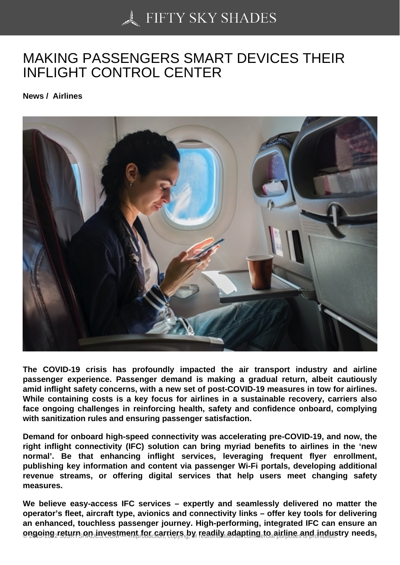# [MAKING PASSENGER](https://50skyshades.com)S SMART DEVICES THEIR INFLIGHT CONTROL CENTER

News / Airlines

The COVID-19 crisis has profoundly impacted the air transport industry and airline passenger experience. Passenger demand is making a gradual return, albeit cautiously amid inflight safety concerns, with a new set of post-COVID-19 measures in tow for airlines. While containing costs is a key focus for airlines in a sustainable recovery, carriers also face ongoing challenges in reinforcing health, safety and confidence onboard, complying with sanitization rules and ensuring passenger satisfaction.

Demand for onboard high-speed connectivity was accelerating pre-COVID-19, and now, the right inflight connectivity (IFC) solution can bring myriad benefits to airlines in the 'new normal'. Be that enhancing inflight services, leveraging frequent flyer enrollment, publishing key information and content via passenger Wi-Fi portals, developing additional revenue streams, or offering digital services that help users meet changing safety measures.

We believe easy-access IFC services – expertly and seamlessly delivered no matter the operator's fleet, aircraft type, avionics and connectivity links – offer key tools for delivering an enhanced, touchless passenger journey. High-performing, integrated IFC can ensure an  $\epsilon$  angoing return on investment for carriers by readily adapting to airline and industry needs,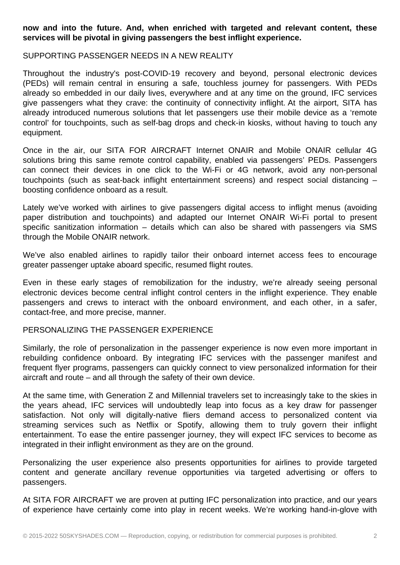## **now and into the future. And, when enriched with targeted and relevant content, these services will be pivotal in giving passengers the best inflight experience.**

#### SUPPORTING PASSENGER NEEDS IN A NEW REALITY

Throughout the industry's post-COVID-19 recovery and beyond, personal electronic devices (PEDs) will remain central in ensuring a safe, touchless journey for passengers. With PEDs already so embedded in our daily lives, everywhere and at any time on the ground, IFC services give passengers what they crave: the continuity of connectivity inflight. At the airport, SITA has already introduced numerous solutions that let passengers use their mobile device as a 'remote control' for touchpoints, such as self-bag drops and check-in kiosks, without having to touch any equipment.

Once in the air, our SITA FOR AIRCRAFT Internet ONAIR and Mobile ONAIR cellular 4G solutions bring this same remote control capability, enabled via passengers' PEDs. Passengers can connect their devices in one click to the Wi-Fi or 4G network, avoid any non-personal touchpoints (such as seat-back inflight entertainment screens) and respect social distancing – boosting confidence onboard as a result.

Lately we've worked with airlines to give passengers digital access to inflight menus (avoiding paper distribution and touchpoints) and adapted our Internet ONAIR Wi-Fi portal to present specific sanitization information – details which can also be shared with passengers via SMS through the Mobile ONAIR network.

We've also enabled airlines to rapidly tailor their onboard internet access fees to encourage greater passenger uptake aboard specific, resumed flight routes.

Even in these early stages of remobilization for the industry, we're already seeing personal electronic devices become central inflight control centers in the inflight experience. They enable passengers and crews to interact with the onboard environment, and each other, in a safer, contact-free, and more precise, manner.

### PERSONALIZING THE PASSENGER EXPERIENCE

Similarly, the role of personalization in the passenger experience is now even more important in rebuilding confidence onboard. By integrating IFC services with the passenger manifest and frequent flyer programs, passengers can quickly connect to view personalized information for their aircraft and route – and all through the safety of their own device.

At the same time, with Generation Z and Millennial travelers set to increasingly take to the skies in the years ahead, IFC services will undoubtedly leap into focus as a key draw for passenger satisfaction. Not only will digitally-native fliers demand access to personalized content via streaming services such as Netflix or Spotify, allowing them to truly govern their inflight entertainment. To ease the entire passenger journey, they will expect IFC services to become as integrated in their inflight environment as they are on the ground.

Personalizing the user experience also presents opportunities for airlines to provide targeted content and generate ancillary revenue opportunities via targeted advertising or offers to passengers.

At SITA FOR AIRCRAFT we are proven at putting IFC personalization into practice, and our years of experience have certainly come into play in recent weeks. We're working hand-in-glove with